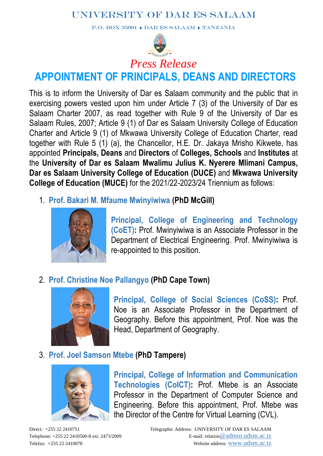P.O. BOX 35091  $\rightarrow$  DAR ES SALAAM  $\rightarrow$  TANZANIA



# **APPOINTMENT OF PRINCIPALS, DEANS AND DIRECTORS**

This is to inform the University of Dar es Salaam community and the public that in exercising powers vested upon him under Article 7 (3) of the University of Dar es Salaam Charter 2007, as read together with Rule 9 of the University of Dar es Salaam Rules, 2007; Article 9 (1) of Dar es Salaam University College of Education Charter and Article 9 (1) of Mkwawa University College of Education Charter, read together with Rule 5 (1) (a), the Chancellor, H.E. Dr. Jakaya Mrisho Kikwete, has appointed **Principals, Deans** and **Directors** of **Colleges, Schools** and **Institutes** at the **University of Dar es Salaam Mwalimu Julius K. Nyerere Mlimani Campus, Dar es Salaam University College of Education (DUCE)** and **Mkwawa University College of Education (MUCE)** for the 2021/22-2023/24 Triennium as follows:

1. **Prof. Bakari M. Mfaume Mwinyiwiwa (PhD McGill)**



**Principal, College of Engineering and Technology (CoET):** Prof. Mwinyiwiwa is an Associate Professor in the Department of Electrical Engineering. Prof. Mwinyiwiwa is re-appointed to this position.

## 2. **Prof. Christine Noe Pallangyo (PhD Cape Town)**



**Principal, College of Social Sciences (CoSS):** Prof. Noe is an Associate Professor in the Department of Geography. Before this appointment, Prof. Noe was the Head, Department of Geography.

#### 3. **Prof. Joel Samson Mtebe (PhD Tampere)**



**Principal, College of Information and Communication Technologies (CoICT):** Prof. Mtebe is an Associate Professor in the Department of Computer Science and Engineering. Before this appointment, Prof. Mtebe was the Director of the Centre for Virtual Learning (CVL).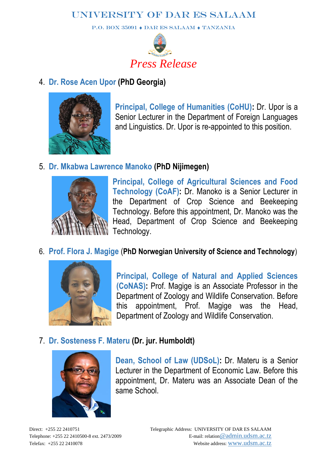P.O. BOX 35091  $\rightarrow$  DAR ES SALAAM  $\rightarrow$  TANZANIA



#### 4. **Dr. Rose Acen Upor (PhD Georgia)**



**Principal, College of Humanities (CoHU):** Dr. Upor is a Senior Lecturer in the Department of Foreign Languages and Linguistics. Dr. Upor is re-appointed to this position.

#### 5. **Dr. Mkabwa Lawrence Manoko (PhD Nijimegen)**



**Principal, College of Agricultural Sciences and Food Technology (CoAF):** Dr. Manoko is a Senior Lecturer in the Department of Crop Science and Beekeeping Technology. Before this appointment, Dr. Manoko was the Head, Department of Crop Science and Beekeeping Technology.

#### 6. **Prof. Flora J. Magige** (**PhD Norwegian University of Science and Technology**)



**Principal, College of Natural and Applied Sciences (CoNAS):** Prof. Magige is an Associate Professor in the Department of Zoology and Wildlife Conservation. Before this appointment, Prof. Magige was the Head, Department of Zoology and Wildlife Conservation.

#### 7. **Dr. Sosteness F. Materu (Dr. jur. Humboldt)**



**Dean, School of Law (UDSoL):** Dr. Materu is a Senior Lecturer in the Department of Economic Law. Before this appointment, Dr. Materu was an Associate Dean of the same School.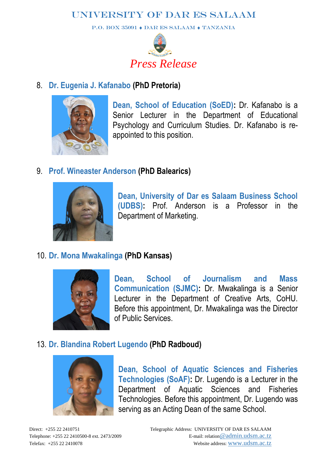P.O. BOX 35091  $\bullet$  DAR ES SALAAM  $\bullet$  TANZANIA



## 8. **Dr. Eugenia J. Kafanabo (PhD Pretoria)**



**Dean, School of Education (SoED):** Dr. Kafanabo is a Senior Lecturer in the Department of Educational Psychology and Curriculum Studies. Dr. Kafanabo is reappointed to this position.

## 9. **Prof. Wineaster Anderson (PhD Balearics)**



**Dean, University of Dar es Salaam Business School (UDBS):** Prof. Anderson is a Professor in the Department of Marketing.

## 10. **Dr. Mona Mwakalinga (PhD Kansas)**



**Dean, School of Journalism and Mass Communication (SJMC):** Dr. Mwakalinga is a Senior Lecturer in the Department of Creative Arts, CoHU. Before this appointment, Dr. Mwakalinga was the Director of Public Services.

#### 13. **Dr. Blandina Robert Lugendo (PhD Radboud)**



**Dean, School of Aquatic Sciences and Fisheries Technologies (SoAF):** Dr. Lugendo is a Lecturer in the Department of Aquatic Sciences and Fisheries Technologies. Before this appointment, Dr. Lugendo was serving as an Acting Dean of the same School.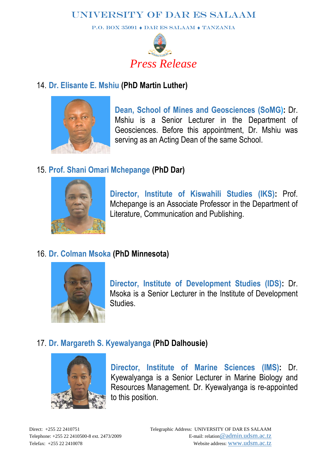P.O. BOX 35091  $\bullet$  DAR ES SALAAM  $\bullet$  TANZANIA



## 14. **Dr. Elisante E. Mshiu (PhD Martin Luther)**



**Dean, School of Mines and Geosciences (SoMG):** Dr. Mshiu is a Senior Lecturer in the Department of Geosciences. Before this appointment, Dr. Mshiu was serving as an Acting Dean of the same School.

## 15. **Prof. Shani Omari Mchepange (PhD Dar)**



**Director, Institute of Kiswahili Studies (IKS):** Prof. Mchepange is an Associate Professor in the Department of Literature, Communication and Publishing.

## 16. **Dr. Colman Msoka (PhD Minnesota)**



**Director, Institute of Development Studies (IDS):** Dr. Msoka is a Senior Lecturer in the Institute of Development **Studies** 

## 17. **Dr. Margareth S. Kyewalyanga (PhD Dalhousie)**



**Director, Institute of Marine Sciences (IMS):** Dr. Kyewalyanga is a Senior Lecturer in Marine Biology and Resources Management. Dr. Kyewalyanga is re-appointed to this position.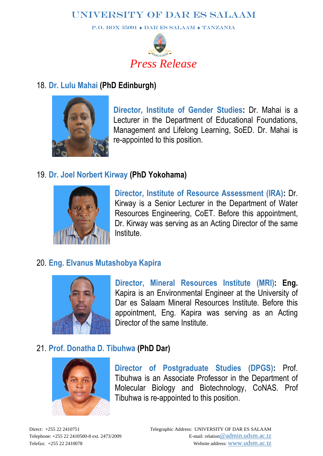P.O. BOX 35091  $\rightarrow$  DAR ES SALAAM  $\rightarrow$  TANZANIA



#### 18. **Dr. Lulu Mahai (PhD Edinburgh)**



**Director, Institute of Gender Studies:** Dr. Mahai is a Lecturer in the Department of Educational Foundations, Management and Lifelong Learning, SoED. Dr. Mahai is re-appointed to this position.

#### 19. **Dr. Joel Norbert Kirway (PhD Yokohama)**



**Director, Institute of Resource Assessment (IRA):** Dr. Kirway is a Senior Lecturer in the Department of Water Resources Engineering, CoET. Before this appointment, Dr. Kirway was serving as an Acting Director of the same Institute.

## 20. **Eng. Elvanus Mutashobya Kapira**



**Director, Mineral Resources Institute (MRI): Eng.**  Kapira is an Environmental Engineer at the University of Dar es Salaam Mineral Resources Institute. Before this appointment, Eng. Kapira was serving as an Acting Director of the same Institute.

## 21. **Prof. Donatha D. Tibuhwa (PhD Dar)**



**Director of Postgraduate Studies (DPGS):** Prof. Tibuhwa is an Associate Professor in the Department of Molecular Biology and Biotechnology, CoNAS. Prof Tibuhwa is re-appointed to this position.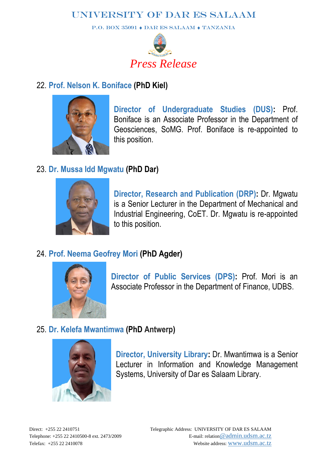P.O. BOX 35091  $\bullet$  DAR ES SALAAM  $\bullet$  TANZANIA



#### 22. **Prof. Nelson K. Boniface (PhD Kiel)**



**Director of Undergraduate Studies (DUS):** Prof. Boniface is an Associate Professor in the Department of Geosciences, SoMG. Prof. Boniface is re-appointed to this position.

## 23. **Dr. Mussa Idd Mgwatu (PhD Dar)**



**Director, Research and Publication (DRP):** Dr. Mgwatu is a Senior Lecturer in the Department of Mechanical and Industrial Engineering, CoET. Dr. Mgwatu is re-appointed to this position.

## 24. **Prof. Neema Geofrey Mori (PhD Agder)**



**Director of Public Services (DPS):** Prof. Mori is an Associate Professor in the Department of Finance, UDBS.

## 25. **Dr. Kelefa Mwantimwa (PhD Antwerp)**



**Director, University Library:** Dr. Mwantimwa is a Senior Lecturer in Information and Knowledge Management Systems, University of Dar es Salaam Library.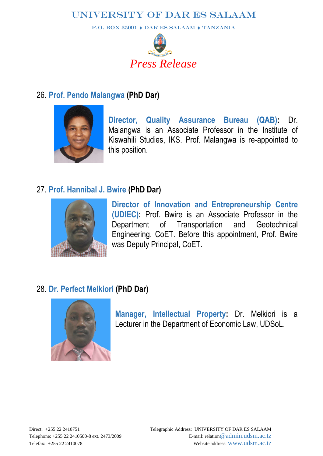P.O. BOX 35091  $\bullet$  DAR ES SALAAM  $\bullet$  TANZANIA



#### 26. **Prof. Pendo Malangwa (PhD Dar)**



**Director, Quality Assurance Bureau (QAB):** Dr. Malangwa is an Associate Professor in the Institute of Kiswahili Studies, IKS. Prof. Malangwa is re-appointed to this position.

#### 27. **Prof. Hannibal J. Bwire (PhD Dar)**



**Director of Innovation and Entrepreneurship Centre (UDIEC):** Prof. Bwire is an Associate Professor in the Department of Transportation and Geotechnical Engineering, CoET. Before this appointment, Prof. Bwire was Deputy Principal, CoET.

## 28. **Dr. Perfect Melkiori (PhD Dar)**



**Manager, Intellectual Property:** Dr. Melkiori is a Lecturer in the Department of Economic Law, UDSoL.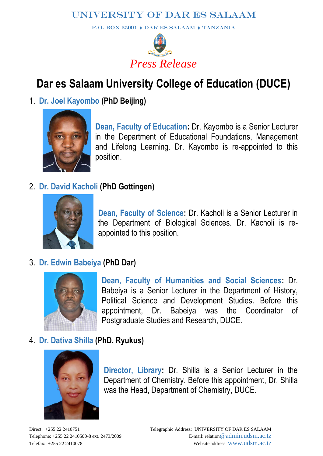P.O. BOX 35091  $\rightarrow$  DAR ES SALAAM  $\rightarrow$  TANZANIA



## **Dar es Salaam University College of Education (DUCE)**

## 1. **Dr. Joel Kayombo (PhD Beijing)**



**Dean, Faculty of Education:** Dr. Kayombo is a Senior Lecturer in the Department of Educational Foundations, Management and Lifelong Learning. Dr. Kayombo is re-appointed to this position.

#### 2. **Dr. David Kacholi (PhD Gottingen)**



**Dean, Faculty of Science:** Dr. Kacholi is a Senior Lecturer in the Department of Biological Sciences. Dr. Kacholi is reappointed to this position.

## 3. **Dr. Edwin Babeiya (PhD Dar)**



**Dean, Faculty of Humanities and Social Sciences:** Dr. Babeiya is a Senior Lecturer in the Department of History, Political Science and Development Studies. Before this appointment, Dr. Babeiya was the Coordinator of Postgraduate Studies and Research, DUCE.

#### 4. **Dr. Dativa Shilla (PhD. Ryukus)**



**Director, Library:** Dr. Shilla is a Senior Lecturer in the Department of Chemistry. Before this appointment, Dr. Shilla was the Head, Department of Chemistry, DUCE.